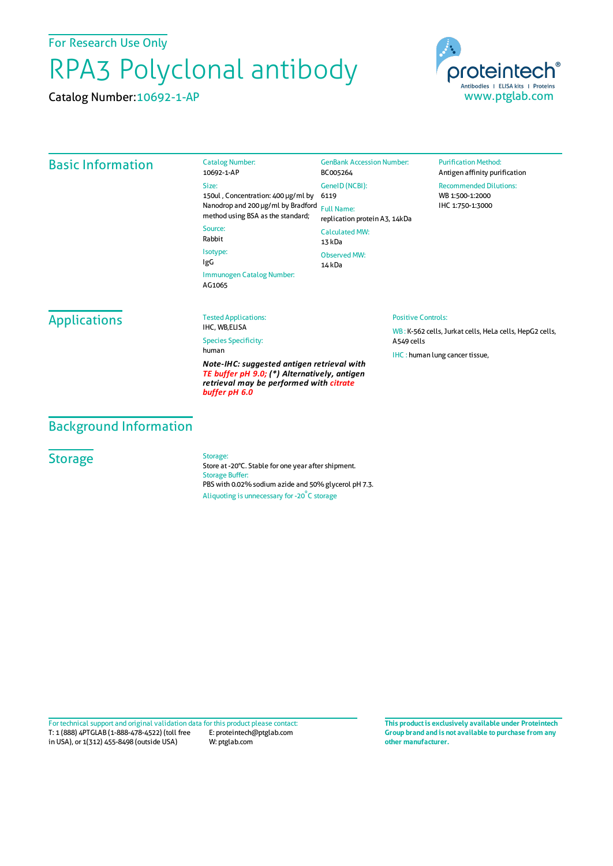For Research Use Only

# RPA3 Polyclonal antibody

Catalog Number:10692-1-AP



## Basic Information

Catalog Number: 10692-1-AP Size: 150ul , Concentration: 400 μg/ml by 6119 Nanodrop and 200 μg/ml by Bradford Full Name: method using BSA as the standard; Source: GenBank Accession Number: BC005264

Rabbit Isotype: IgG Immunogen Catalog Number:

AG1065

GeneID(NCBI): replication protein A3, 14kDa CalculatedMW: 13 kDa Observed MW:

14 kDa

**Purification Method:** Antigen affinity purification Recommended Dilutions: WB 1:500-1:2000 IHC 1:750-1:3000

## Applications

### Tested Applications:

IHC, WB,ELISA Species Specificity: human

*Note-IHC: suggested antigen retrieval with TE buffer pH 9.0; (\*) Alternatively, antigen retrieval may be performed with citrate buffer pH 6.0*

#### Positive Controls:

WB : K-562 cells, Jurkat cells, HeLa cells, HepG2 cells, A549 cells

IHC : human lung cancer tissue,

## Background Information

## **Storage**

Storage:

Store at -20°C. Stable for one year after shipment. Storage Buffer: PBS with 0.02% sodium azide and 50% glycerol pH 7.3. Aliquoting is unnecessary for -20<sup>°</sup>C storage

T: 1 (888) 4PTGLAB (1-888-478-4522) (toll free in USA), or 1(312) 455-8498 (outside USA) E: proteintech@ptglab.com W: ptglab.com Fortechnical support and original validation data forthis product please contact: **This productis exclusively available under Proteintech**

**Group brand and is not available to purchase from any other manufacturer.**